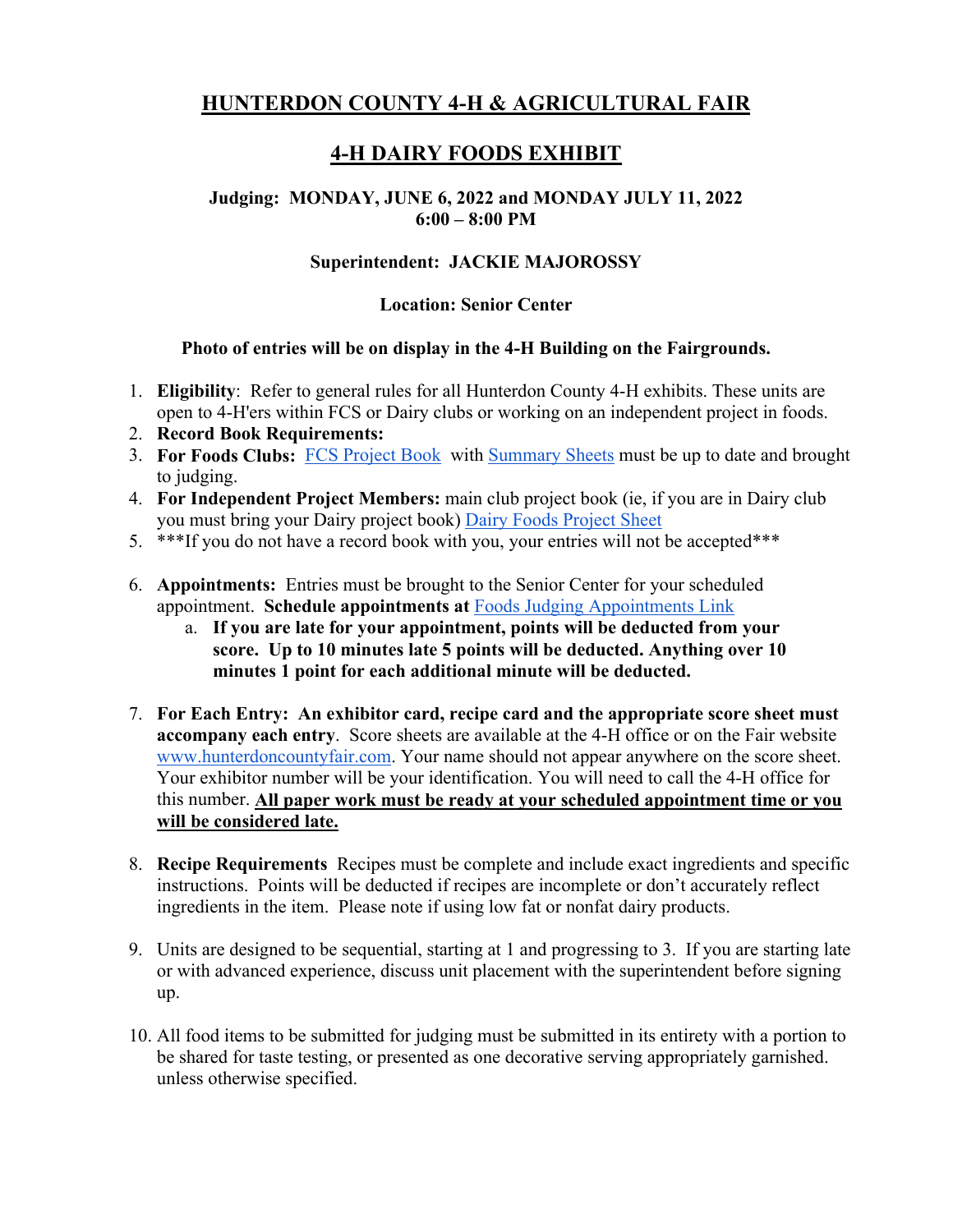# **HUNTERDON COUNTY 4-H & AGRICULTURAL FAIR**

# **4-H DAIRY FOODS EXHIBIT**

#### **Judging: MONDAY, JUNE 6, 2022 and MONDAY JULY 11, 2022 6:00 – 8:00 PM**

### **Superintendent: JACKIE MAJOROSSY**

#### **Location: Senior Center**

#### **Photo of entries will be on display in the 4-H Building on the Fairgrounds.**

- 1. **Eligibility**: Refer to general rules for all Hunterdon County 4-H exhibits. These units are open to 4-H'ers within FCS or Dairy clubs or working on an independent project in foods.
- 2. **Record Book Requirements:**
- 3. **For Foods Clubs:** FCS Project Book with Summary Sheets must be up to date and brought to judging.
- 4. **For Independent Project Members:** main club project book (ie, if you are in Dairy club you must bring your Dairy project book) Dairy Foods Project Sheet
- 5. \*\*\*If you do not have a record book with you, your entries will not be accepted\*\*\*
- 6. **Appointments:** Entries must be brought to the Senior Center for your scheduled appointment. **Schedule appointments at** Foods Judging Appointments Link
	- a. **If you are late for your appointment, points will be deducted from your score. Up to 10 minutes late 5 points will be deducted. Anything over 10 minutes 1 point for each additional minute will be deducted.**
- 7. **For Each Entry: An exhibitor card, recipe card and the appropriate score sheet must accompany each entry**. Score sheets are available at the 4-H office or on the Fair website www.hunterdoncountyfair.com. Your name should not appear anywhere on the score sheet. Your exhibitor number will be your identification. You will need to call the 4-H office for this number. **All paper work must be ready at your scheduled appointment time or you will be considered late.**
- 8. **Recipe Requirements** Recipes must be complete and include exact ingredients and specific instructions. Points will be deducted if recipes are incomplete or don't accurately reflect ingredients in the item. Please note if using low fat or nonfat dairy products.
- 9. Units are designed to be sequential, starting at 1 and progressing to 3. If you are starting late or with advanced experience, discuss unit placement with the superintendent before signing up.
- 10. All food items to be submitted for judging must be submitted in its entirety with a portion to be shared for taste testing, or presented as one decorative serving appropriately garnished. unless otherwise specified.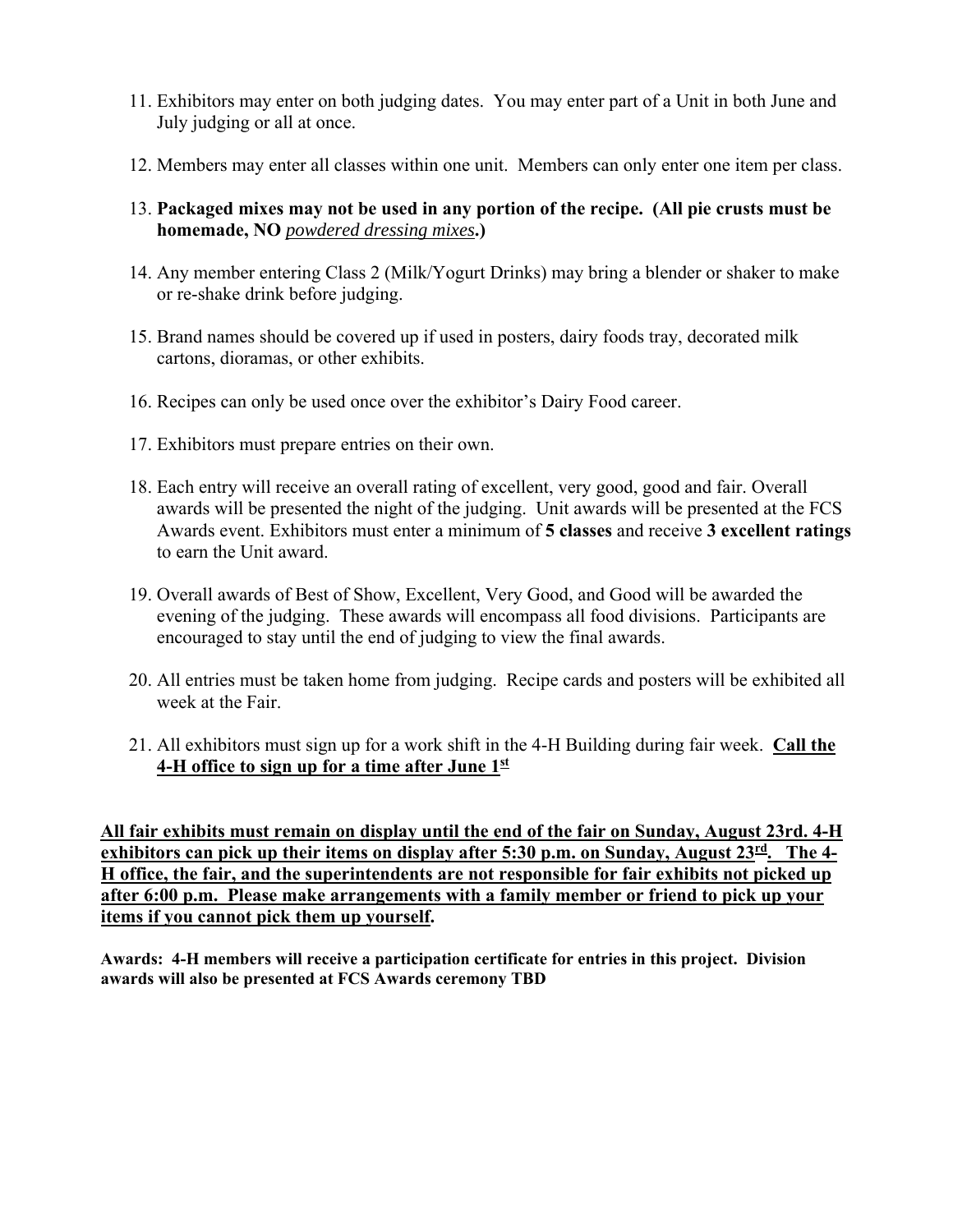- 11. Exhibitors may enter on both judging dates.You may enter part of a Unit in both June and July judging or all at once.
- 12. Members may enter all classes within one unit. Members can only enter one item per class.
- 13. **Packaged mixes may not be used in any portion of the recipe. (All pie crusts must be homemade, NO** *powdered dressing mixes***.)**
- 14. Any member entering Class 2 (Milk/Yogurt Drinks) may bring a blender or shaker to make or re-shake drink before judging.
- 15. Brand names should be covered up if used in posters, dairy foods tray, decorated milk cartons, dioramas, or other exhibits.
- 16. Recipes can only be used once over the exhibitor's Dairy Food career.
- 17. Exhibitors must prepare entries on their own.
- 18. Each entry will receive an overall rating of excellent, very good, good and fair. Overall awards will be presented the night of the judging. Unit awards will be presented at the FCS Awards event. Exhibitors must enter a minimum of **5 classes** and receive **3 excellent ratings**  to earn the Unit award.
- 19. Overall awards of Best of Show, Excellent, Very Good, and Good will be awarded the evening of the judging. These awards will encompass all food divisions. Participants are encouraged to stay until the end of judging to view the final awards.
- 20. All entries must be taken home from judging. Recipe cards and posters will be exhibited all week at the Fair.
- 21. All exhibitors must sign up for a work shift in the 4-H Building during fair week. **Call the 4-H office to sign up for a time after June 1st**

**All fair exhibits must remain on display until the end of the fair on Sunday, August 23rd. 4-H exhibitors can pick up their items on display after 5:30 p.m. on Sunday, August 23rd. The 4- H office, the fair, and the superintendents are not responsible for fair exhibits not picked up after 6:00 p.m. Please make arrangements with a family member or friend to pick up your items if you cannot pick them up yourself.**

**Awards: 4-H members will receive a participation certificate for entries in this project. Division awards will also be presented at FCS Awards ceremony TBD**